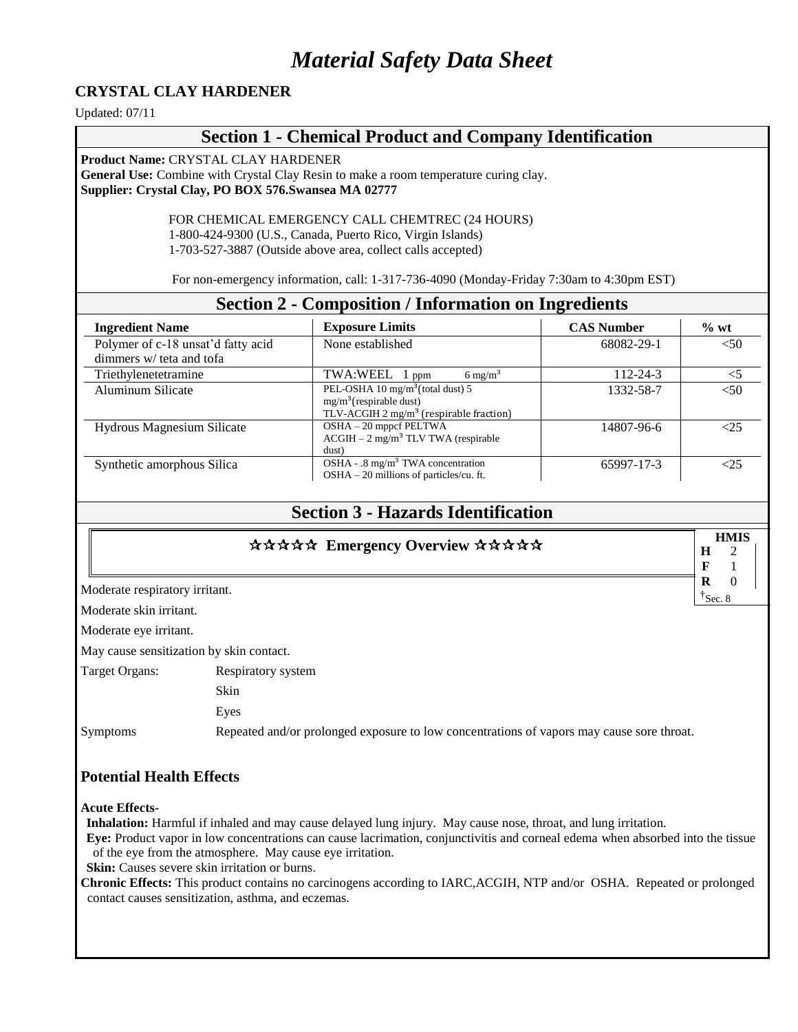# *Material Safety Data Sheet*

#### **CRYSTAL CLAY HARDENER**

Updated: 07/11

#### **Section 1 - Chemical Product and Company Identification**

**Product Name:** CRYSTAL CLAY HARDENER **General Use:** Combine with Crystal Clay Resin to make a room temperature curing clay. **Supplier: Crystal Clay, PO BOX 576.Swansea MA 02777**

> FOR CHEMICAL EMERGENCY CALL CHEMTREC (24 HOURS) 1-800-424-9300 (U.S., Canada, Puerto Rico, Virgin Islands) 1-703-527-3887 (Outside above area, collect calls accepted)

For non-emergency information, call: 1-317-736-4090 (Monday-Friday 7:30am to 4:30pm EST)

| <b>Section 2 - Composition / Information on Ingredients</b>    |                                                                                                                                 |                   |        |
|----------------------------------------------------------------|---------------------------------------------------------------------------------------------------------------------------------|-------------------|--------|
| <b>Ingredient Name</b>                                         | <b>Exposure Limits</b>                                                                                                          | <b>CAS Number</b> | $%$ wt |
| Polymer of c-18 unsat'd fatty acid<br>dimmers w/ teta and tofa | None established                                                                                                                | 68082-29-1        | < 50   |
| Triethylenetetramine                                           | TWA:WEEL<br>$6 \text{ mg/m}^3$<br>$1$ ppm                                                                                       | 112-24-3          | $<$ 5  |
| Aluminum Silicate                                              | PEL-OSHA 10 mg/m <sup>3</sup> (total dust) 5<br>$mg/m3$ (respirable dust)<br>TLV-ACGIH $2 \text{ mg/m}^3$ (respirable fraction) | 1332-58-7         | < 50   |
| <b>Hydrous Magnesium Silicate</b>                              | OSHA - 20 mppcf PELTWA<br>$ACGIH - 2 mg/m3 TLV TWA$ (respirable<br>dust)                                                        | 14807-96-6        | 75<    |
| Synthetic amorphous Silica                                     | OSHA - .8 mg/m <sup>3</sup> TWA concentration<br>$OSHA - 20$ millions of particles/cu. ft.                                      | 65997-17-3        |        |

# **Section 3 - Hazards Identification**

#### \*\*\*\*\* Emergency Overview \*\*\*\*\*

|   | HMIS                 |
|---|----------------------|
| н |                      |
| к |                      |
| R |                      |
|   | $\frac{1}{3}$ Sec. 8 |

Moderate respiratory irritant.

Moderate skin irritant.

Moderate eye irritant.

May cause sensitization by skin contact.

| Target Organs: | Respiratory system                                                                        |
|----------------|-------------------------------------------------------------------------------------------|
|                | <b>Skin</b>                                                                               |
|                | Eves                                                                                      |
| Symptoms       | Repeated and/or prolonged exposure to low concentrations of vapors may cause sore throat. |

#### **Potential Health Effects**

**Acute Effects-**

**Inhalation:** Harmful if inhaled and may cause delayed lung injury. May cause nose, throat, and lung irritation.

**Eye:** Product vapor in low concentrations can cause lacrimation, conjunctivitis and corneal edema when absorbed into the tissue of the eye from the atmosphere. May cause eye irritation.

**Skin:** Causes severe skin irritation or burns.

**Chronic Effects:** This product contains no carcinogens according to IARC,ACGIH, NTP and/or OSHA. Repeated or prolonged contact causes sensitization, asthma, and eczemas.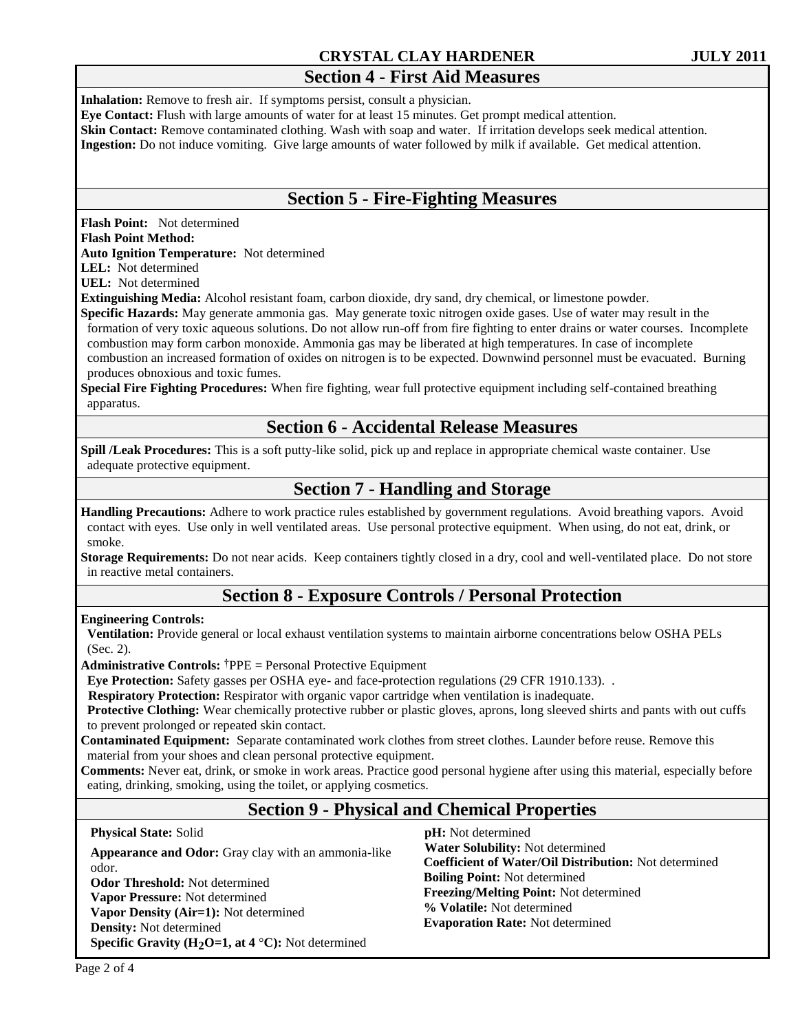#### **CRYSTAL CLAY HARDENER JULY 2011**

# **Section 4 - First Aid Measures**

**Inhalation:** Remove to fresh air. If symptoms persist, consult a physician.

**Eye Contact:** Flush with large amounts of water for at least 15 minutes. Get prompt medical attention.

**Skin Contact:** Remove contaminated clothing. Wash with soap and water. If irritation develops seek medical attention.

**Ingestion:** Do not induce vomiting. Give large amounts of water followed by milk if available. Get medical attention.

# **Section 5 - Fire-Fighting Measures**

**Flash Point:** Not determined

#### **Flash Point Method:**

**Auto Ignition Temperature:** Not determined

**LEL:** Not determined

**UEL:** Not determined

**Extinguishing Media:** Alcohol resistant foam, carbon dioxide, dry sand, dry chemical, or limestone powder.

**Specific Hazards:** May generate ammonia gas. May generate toxic nitrogen oxide gases. Use of water may result in the formation of very toxic aqueous solutions. Do not allow run-off from fire fighting to enter drains or water courses. Incomplete combustion may form carbon monoxide. Ammonia gas may be liberated at high temperatures. In case of incomplete combustion an increased formation of oxides on nitrogen is to be expected. Downwind personnel must be evacuated. Burning

produces obnoxious and toxic fumes.

**Special Fire Fighting Procedures:** When fire fighting, wear full protective equipment including self-contained breathing apparatus.

# **Section 6 - Accidental Release Measures**

**Spill** */Leak Procedures:* This is a soft putty-like solid, pick up and replace in appropriate chemical waste container. Use adequate protective equipment.

# **Section 7 - Handling and Storage**

**Handling Precautions:** Adhere to work practice rules established by government regulations. Avoid breathing vapors. Avoid contact with eyes. Use only in well ventilated areas. Use personal protective equipment. When using, do not eat, drink, or smoke.

**Storage Requirements:** Do not near acids. Keep containers tightly closed in a dry, cool and well-ventilated place. Do not store in reactive metal containers.

# **Section 8 - Exposure Controls / Personal Protection**

**Engineering Controls:**

**Ventilation:** Provide general or local exhaust ventilation systems to maintain airborne concentrations below OSHA PELs (Sec. 2).

**Administrative Controls:** †PPE = Personal Protective Equipment

 **Eye Protection:** Safety gasses per OSHA eye- and face-protection regulations (29 CFR 1910.133). .

**Respiratory Protection:** Respirator with organic vapor cartridge when ventilation is inadequate.

**Protective Clothing:** Wear chemically protective rubber or plastic gloves, aprons, long sleeved shirts and pants with out cuffs to prevent prolonged or repeated skin contact.

**Contaminated Equipment:** Separate contaminated work clothes from street clothes. Launder before reuse. Remove this material from your shoes and clean personal protective equipment.

**Comments:** Never eat, drink, or smoke in work areas. Practice good personal hygiene after using this material, especially before eating, drinking, smoking, using the toilet, or applying cosmetics.

# **Section 9 - Physical and Chemical Properties**

**Physical State:** Solid

**Appearance and Odor:** Gray clay with an ammonia-like odor. **Odor Threshold:** Not determined **Vapor Pressure:** Not determined **Vapor Density (Air=1):** Not determined **Density:** Not determined **Specific Gravity (H2O=1, at 4** °**C):** Not determined

 **pH:** Not determined  **Water Solubility:** Not determined **Coefficient of Water/Oil Distribution:** Not determined **Boiling Point:** Not determined **Freezing/Melting Point:** Not determined **% Volatile:** Not determined **Evaporation Rate:** Not determined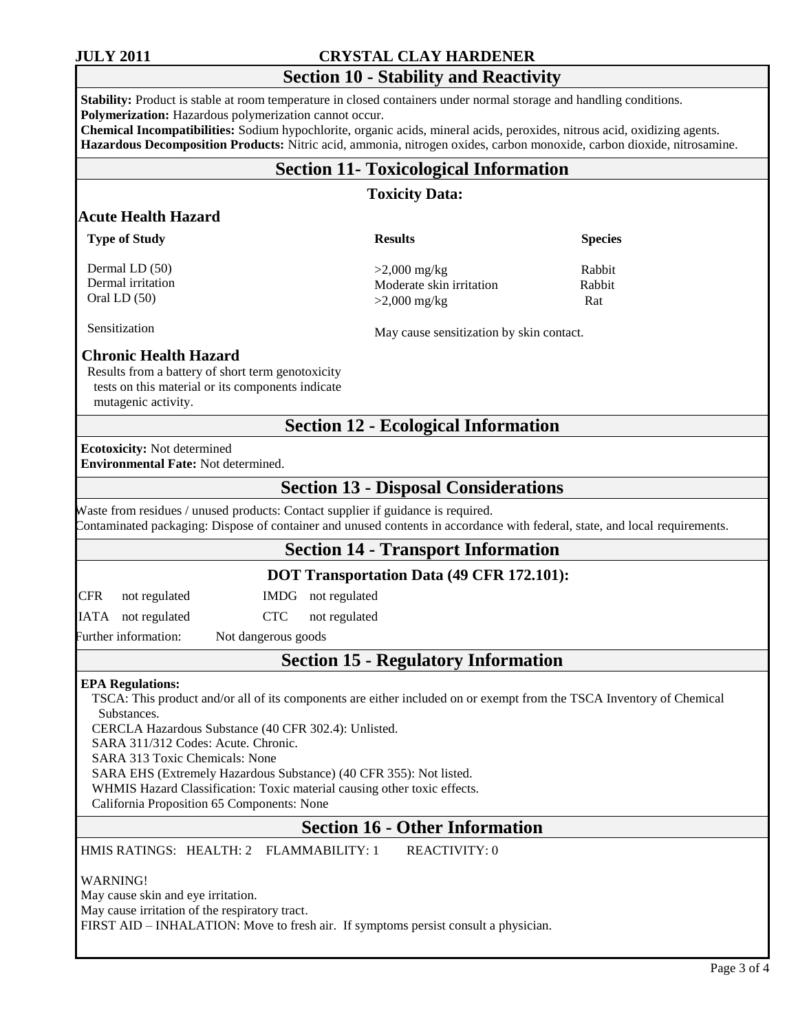#### **JULY 2011 CRYSTAL CLAY HARDENER**

# **Section 10 - Stability and Reactivity**

**Stability:** Product is stable at room temperature in closed containers under normal storage and handling conditions. **Polymerization:** Hazardous polymerization cannot occur.

**Chemical Incompatibilities:** Sodium hypochlorite, organic acids, mineral acids, peroxides, nitrous acid, oxidizing agents. **Hazardous Decomposition Products:** Nitric acid, ammonia, nitrogen oxides, carbon monoxide, carbon dioxide, nitrosamine.

#### **Section 11- Toxicological Information**

#### **Toxicity Data:**

#### **Acute Health Hazard**

| <b>Type of Study</b> | <b>Results</b>           | <b>Species</b> |
|----------------------|--------------------------|----------------|
| Dermal LD $(50)$     | $>2,000$ mg/kg           | Rabbit         |
| Dermal irritation    | Moderate skin irritation | Rabbit         |
| Oral LD $(50)$       | $>2,000 \text{ mg/kg}$   | Rat            |

Sensitization

#### **Chronic Health Hazard**

Results from a battery of short term genotoxicity tests on this material or its components indicate mutagenic activity.

#### **Section 12 - Ecological Information**

May cause sensitization by skin contact.

#### **Ecotoxicity:** Not determined **Environmental Fate:** Not determined.

# **Section 13 - Disposal Considerations**

Waste from residues / unused products: Contact supplier if guidance is required. Contaminated packaging: Dispose of container and unused contents in accordance with federal, state, and local requirements.

#### **Section 14 - Transport Information**

#### **DOT Transportation Data (49 CFR 172.101):**

CFR not regulated IMDG not regulated

IATA not regulated CTC not regulated

Further information: Not dangerous goods

# **Section 15 - Regulatory Information**

#### **EPA Regulations:**

TSCA: This product and/or all of its components are either included on or exempt from the TSCA Inventory of Chemical **Substances** 

CERCLA Hazardous Substance (40 CFR 302.4): Unlisted.

SARA 311/312 Codes: Acute. Chronic.

SARA 313 Toxic Chemicals: None

SARA EHS (Extremely Hazardous Substance) (40 CFR 355): Not listed.

WHMIS Hazard Classification: Toxic material causing other toxic effects.

California Proposition 65 Components: None

#### **Section 16 - Other Information**

HMIS RATINGS: HEALTH: 2 FLAMMABILITY: 1 REACTIVITY: 0

WARNING!

May cause skin and eye irritation. May cause irritation of the respiratory tract. FIRST AID – INHALATION: Move to fresh air. If symptoms persist consult a physician.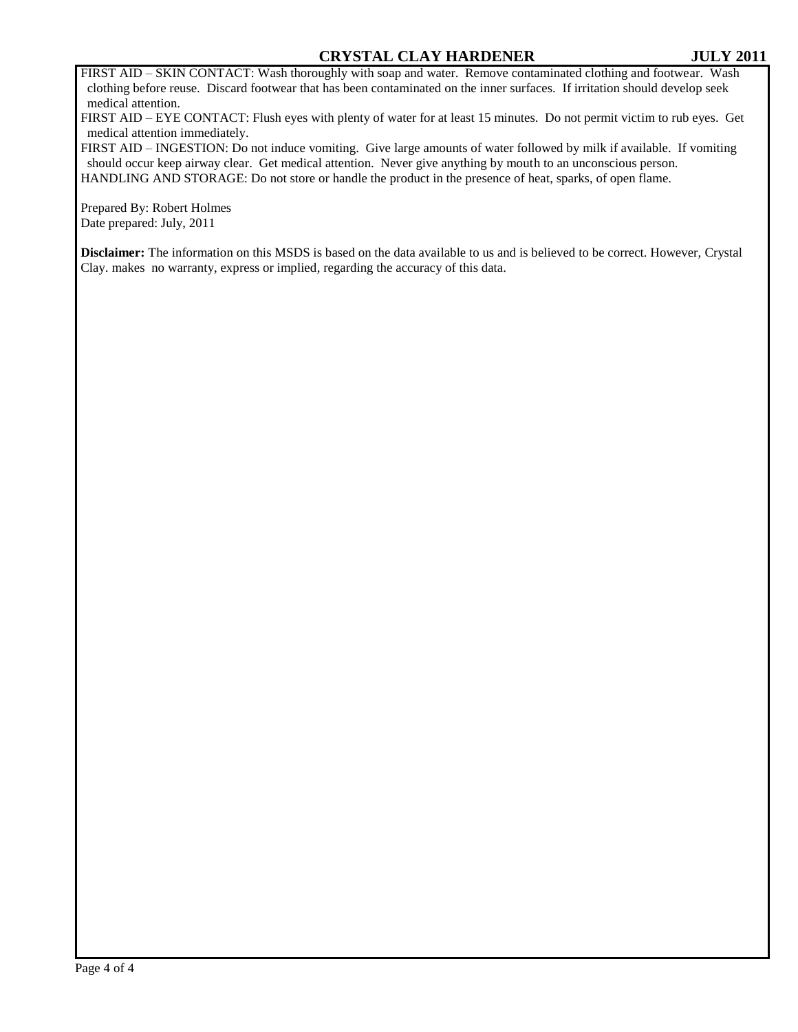FIRST AID – SKIN CONTACT: Wash thoroughly with soap and water. Remove contaminated clothing and footwear. Wash clothing before reuse. Discard footwear that has been contaminated on the inner surfaces. If irritation should develop seek medical attention.

FIRST AID – EYE CONTACT: Flush eyes with plenty of water for at least 15 minutes. Do not permit victim to rub eyes. Get medical attention immediately.

FIRST AID – INGESTION: Do not induce vomiting. Give large amounts of water followed by milk if available. If vomiting should occur keep airway clear. Get medical attention. Never give anything by mouth to an unconscious person. HANDLING AND STORAGE: Do not store or handle the product in the presence of heat, sparks, of open flame.

Prepared By: Robert Holmes Date prepared: July, 2011

**Disclaimer:** The information on this MSDS is based on the data available to us and is believed to be correct. However, Crystal Clay. makes no warranty, express or implied, regarding the accuracy of this data.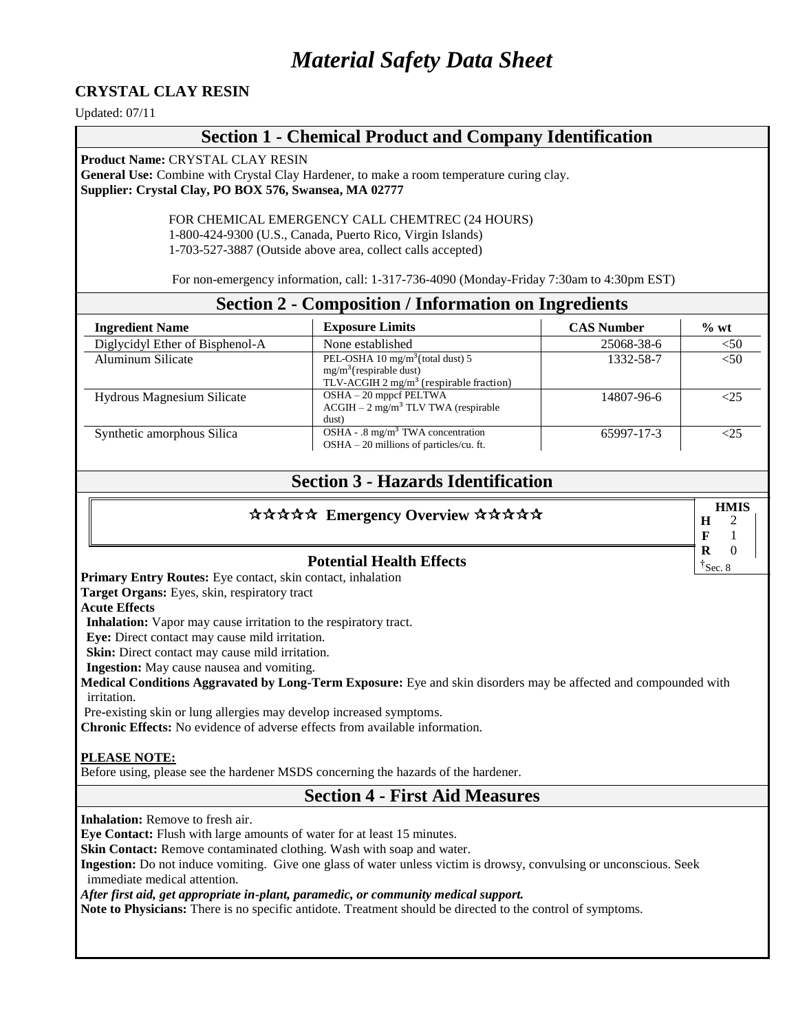# *Material Safety Data Sheet*

#### **CRYSTAL CLAY RESIN**

Updated: 07/11

#### **Section 1 - Chemical Product and Company Identification**

**Product Name:** CRYSTAL CLAY RESIN

**General Use:** Combine with Crystal Clay Hardener, to make a room temperature curing clay. **Supplier: Crystal Clay, PO BOX 576, Swansea, MA 02777**

> FOR CHEMICAL EMERGENCY CALL CHEMTREC (24 HOURS) 1-800-424-9300 (U.S., Canada, Puerto Rico, Virgin Islands) 1-703-527-3887 (Outside above area, collect calls accepted)

For non-emergency information, call: 1-317-736-4090 (Monday-Friday 7:30am to 4:30pm EST)

| <b>Section 2 - Composition / Information on Ingredients</b> |                                                                                                                                 |                   |         |
|-------------------------------------------------------------|---------------------------------------------------------------------------------------------------------------------------------|-------------------|---------|
| <b>Ingredient Name</b>                                      | <b>Exposure Limits</b>                                                                                                          | <b>CAS Number</b> | $\%$ wt |
| Diglycidyl Ether of Bisphenol-A                             | None established                                                                                                                | 25068-38-6        | $50$    |
| Aluminum Silicate                                           | PEL-OSHA 10 mg/m <sup>3</sup> (total dust) 5<br>$mg/m3$ (respirable dust)<br>TLV-ACGIH $2 \text{ mg/m}^3$ (respirable fraction) | 1332-58-7         | $<$ 50  |
| Hydrous Magnesium Silicate                                  | OSHA - 20 mppcf PELTWA<br>$ACGIH - 2 mg/m3 TLV TWA$ (respirable<br>dust)                                                        | 14807-96-6        |         |
| Synthetic amorphous Silica                                  | OSHA - .8 mg/m <sup>3</sup> TWA concentration<br>$OSHA - 20$ millions of particles/cu. ft.                                      | 65997-17-3        |         |

# **Section 3 - Hazards Identification**

| ***** Emergency Overview *****  | Н           | <b>HMIS</b> |  |
|---------------------------------|-------------|-------------|--|
| <b>Potential Health Effects</b> | R<br>Sec. 8 |             |  |

**Primary Entry Routes:** Eye contact, skin contact, inhalation

**Target Organs:** Eyes, skin, respiratory tract

**Acute Effects**

**Inhalation:** Vapor may cause irritation to the respiratory tract.

**Eye:** Direct contact may cause mild irritation.

**Skin:** Direct contact may cause mild irritation.

**Ingestion:** May cause nausea and vomiting.

**Medical Conditions Aggravated by Long-Term Exposure:** Eye and skin disorders may be affected and compounded with irritation.

Pre**-**existing skin or lung allergies may develop increased symptoms.

**Chronic Effects:** No evidence of adverse effects from available information.

#### **PLEASE NOTE:**

Before using, please see the hardener MSDS concerning the hazards of the hardener.

#### **Section 4 - First Aid Measures**

**Inhalation:** Remove to fresh air.

**Eye Contact:** Flush with large amounts of water for at least 15 minutes.

**Skin Contact:** Remove contaminated clothing. Wash with soap and water.

**Ingestion:** Do not induce vomiting. Give one glass of water unless victim is drowsy, convulsing or unconscious. Seek immediate medical attention.

*After first aid, get appropriate in-plant, paramedic, or community medical support.*

**Note to Physicians:** There is no specific antidote. Treatment should be directed to the control of symptoms.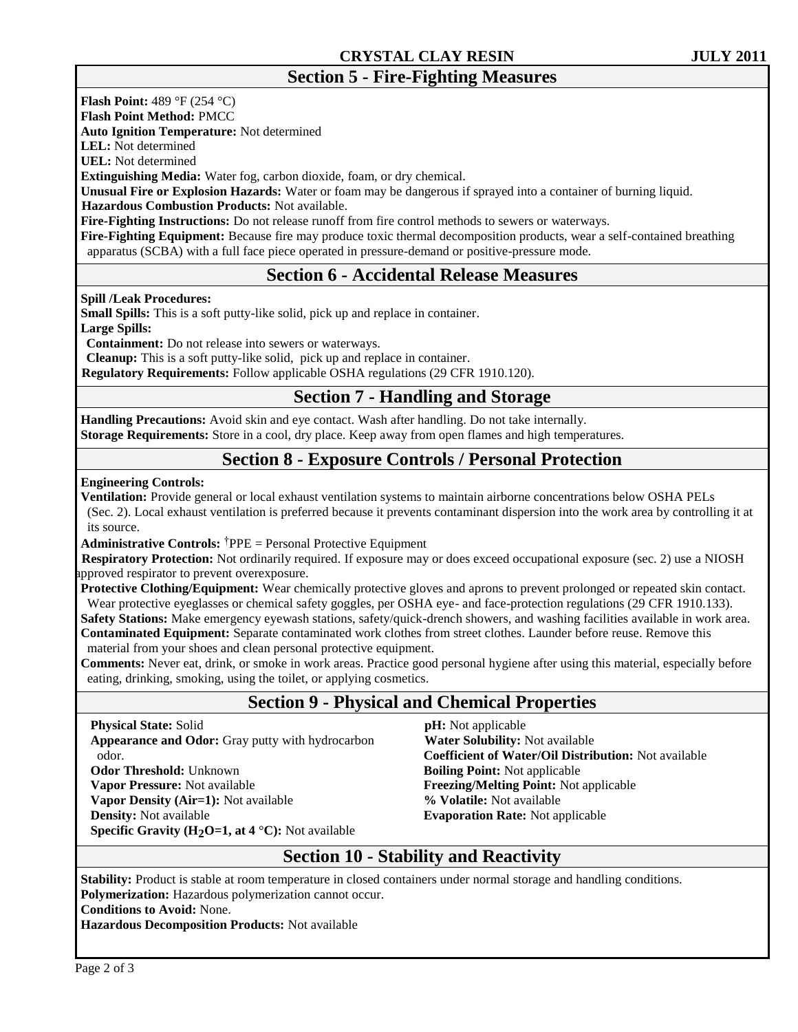**Flash Point:** 489 °F (254 °C)

**Flash Point Method:** PMCC

**Auto Ignition Temperature:** Not determined

**LEL:** Not determined

**UEL:** Not determined

**Extinguishing Media:** Water fog, carbon dioxide, foam, or dry chemical.

**Unusual Fire or Explosion Hazards:** Water or foam may be dangerous if sprayed into a container of burning liquid.

 **Hazardous Combustion Products:** Not available.

**Fire-Fighting Instructions:** Do not release runoff from fire control methods to sewers or waterways.

**Fire-Fighting Equipment:** Because fire may produce toxic thermal decomposition products, wear a self-contained breathing apparatus (SCBA) with a full face piece operated in pressure-demand or positive-pressure mode.

# **Section 6 - Accidental Release Measures**

**Spill /Leak Procedures:**

**Small Spills:** This is a soft putty-like solid, pick up and replace in container.

**Large Spills:**

**Containment:** Do not release into sewers or waterways.

**Cleanup:** This is a soft putty-like solid, pick up and replace in container.

 **Regulatory Requirements:** Follow applicable OSHA regulations (29 CFR 1910.120).

# **Section 7 - Handling and Storage**

**Handling Precautions:** Avoid skin and eye contact. Wash after handling. Do not take internally. **Storage Requirements:** Store in a cool, dry place. Keep away from open flames and high temperatures.

# **Section 8 - Exposure Controls / Personal Protection**

#### **Engineering Controls:**

**Ventilation:** Provide general or local exhaust ventilation systems to maintain airborne concentrations below OSHA PELs (Sec. 2). Local exhaust ventilation is preferred because it prevents contaminant dispersion into the work area by controlling it at its source.

**Administrative Controls:** †PPE = Personal Protective Equipment

 **Respiratory Protection:** Not ordinarily required. If exposure may or does exceed occupational exposure (sec. 2) use a NIOSH approved respirator to prevent overexposure.

**Protective Clothing/Equipment:** Wear chemically protective gloves and aprons to prevent prolonged or repeated skin contact. Wear protective eyeglasses or chemical safety goggles, per OSHA eye- and face-protection regulations (29 CFR 1910.133).

**Safety Stations:** Make emergency eyewash stations, safety/quick-drench showers, and washing facilities available in work area. **Contaminated Equipment:** Separate contaminated work clothes from street clothes. Launder before reuse. Remove this material from your shoes and clean personal protective equipment.

**Comments:** Never eat, drink, or smoke in work areas. Practice good personal hygiene after using this material, especially before eating, drinking, smoking, using the toilet, or applying cosmetics.

# **Section 9 - Physical and Chemical Properties**

**Physical State:** Solid **Appearance and Odor:** Gray putty with hydrocarbon odor. **Odor Threshold:** Unknown **Vapor Pressure:** Not available **Vapor Density (Air=1):** Not available **Density:** Not available

 **pH:** Not applicable  **Water Solubility:** Not available **Coefficient of Water/Oil Distribution:** Not available **Boiling Point:** Not applicable **Freezing/Melting Point:** Not applicable **% Volatile:** Not available **Evaporation Rate:** Not applicable

# **Section 10 - Stability and Reactivity**

**Stability:** Product is stable at room temperature in closed containers under normal storage and handling conditions. **Polymerization:** Hazardous polymerization cannot occur.

**Conditions to Avoid:** None.

**Hazardous Decomposition Products:** Not available

**Specific Gravity (H2O=1, at 4** °**C):** Not available